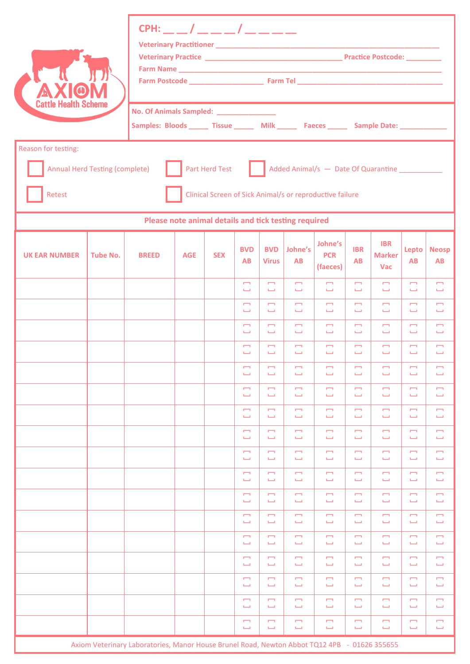| <b>Cattle Health Scheme</b>                                                                                                                                                                 |                 | CPH: __ __ / __ __ __ / __ __ __                                                                                                       |            |            |                                                      |                                          |                                          |                                          |                                   |                                           |                                                      |                                         |  |
|---------------------------------------------------------------------------------------------------------------------------------------------------------------------------------------------|-----------------|----------------------------------------------------------------------------------------------------------------------------------------|------------|------------|------------------------------------------------------|------------------------------------------|------------------------------------------|------------------------------------------|-----------------------------------|-------------------------------------------|------------------------------------------------------|-----------------------------------------|--|
|                                                                                                                                                                                             |                 | No. Of Animals Sampled: ________________<br>Samples: Bloods ______ Tissue _______ Milk ______ Faeces ______ Sample Date: _____________ |            |            |                                                      |                                          |                                          |                                          |                                   |                                           |                                                      |                                         |  |
| Reason for testing:<br>Part Herd Test<br>Added Animal/s - Date Of Quarantine<br><b>Annual Herd Testing (complete)</b><br>Retest<br>Clinical Screen of Sick Animal/s or reproductive failure |                 |                                                                                                                                        |            |            |                                                      |                                          |                                          |                                          |                                   |                                           |                                                      |                                         |  |
| Please note animal details and tick testing required                                                                                                                                        |                 |                                                                                                                                        |            |            |                                                      |                                          |                                          |                                          |                                   |                                           |                                                      |                                         |  |
| <b>UK EAR NUMBER</b>                                                                                                                                                                        | <b>Tube No.</b> | <b>BREED</b>                                                                                                                           | <b>AGE</b> | <b>SEX</b> | <b>BVD</b><br><b>AB</b>                              | <b>BVD</b><br><b>Virus</b>               | Johne's<br>AB                            | Johne's<br><b>PCR</b><br>(faeces)        | <b>IBR</b><br><b>AB</b>           | <b>IBR</b><br><b>Marker</b><br><b>Vac</b> | <b>Lepto</b><br>AB                                   | <b>Neosp</b><br><b>AB</b>               |  |
|                                                                                                                                                                                             |                 |                                                                                                                                        |            |            | $\overline{ }$<br>فسنا                               | $\overline{a}$<br>$\mathbf{L}$           | $\overline{a}$<br>$\mathbf{L}$           | $\overline{\phantom{m}}$<br>$\mathbf{L}$ | $\overline{\phantom{a}}$<br>السبا | $\overline{\phantom{a}}$<br>$\mathbf{L}$  | $\overline{\phantom{a}}$<br>$\mathbf{L}$             | $\Box$<br>$\mathbf{L}$                  |  |
|                                                                                                                                                                                             |                 |                                                                                                                                        |            |            | $\overline{\phantom{a}}$<br>فسنا                     | $\Box$<br>$\mathbf{L}$                   | $\overline{\phantom{a}}$<br>فسننا        | $\overline{\phantom{m}}$<br>$\mathbf{L}$ | $\overline{\phantom{a}}$<br>السبا | $\overline{a}$<br>$\mathbf{L}$            | $\overline{\phantom{a}}$<br>$\Box$                   | $\overline{\phantom{0}}$<br>Ē.          |  |
|                                                                                                                                                                                             |                 |                                                                                                                                        |            |            | $\overline{\phantom{a}}$<br>فسنا                     | $\overline{\phantom{a}}$<br>$\mathbf{L}$ | $\Box$<br>$\mathbf{L}$                   | $\Box$<br>$\mathbf{L}$                   | $\overline{a}$<br>السنا           | $\overline{a}$<br>$\mathbf{L}$            | $\overline{\phantom{a}}$<br>فسنا                     | $\Box$<br>Ē.                            |  |
|                                                                                                                                                                                             |                 |                                                                                                                                        |            |            | $\overline{a}$<br>السببة                             | $\overline{\phantom{a}}$<br>السبا        | $\overline{\phantom{0}}$<br>السنا        | $\overline{a}$<br>السبا                  | <b>COL</b><br>المستل              | $\overline{a}$<br><b>Cold</b>             | $\overline{a}$<br>السنا                              | Ē<br>فسننا                              |  |
|                                                                                                                                                                                             |                 |                                                                                                                                        |            |            | $\overline{\phantom{a}}$<br>ىسا                      | $\overline{\phantom{m}}$<br>$\mathbf{L}$ | $\overline{\phantom{0}}$<br>فسنا         | $\overline{\phantom{m}}$<br>فسنا         | $\overline{\phantom{m}}$<br>فسنا  | $\overline{\phantom{m}}$<br>فسنا          | $\overline{\phantom{m}}$<br>$\overline{\phantom{0}}$ | $\blacksquare$<br>ىسا                   |  |
|                                                                                                                                                                                             |                 |                                                                                                                                        |            |            | $\overline{\phantom{0}}$<br>سنا                      | $\overline{a}$<br>فسنا                   | $\overline{\phantom{0}}$<br>$\mathbf{L}$ | $\overline{\phantom{0}}$<br>فسننا        | $\overline{\phantom{a}}$<br>فسنا  | $\overline{\phantom{0}}$<br>$\mathbf{L}$  | $\overline{\phantom{0}}$<br>$\Box$                   | $\overline{\phantom{0}}$<br>Ē.          |  |
|                                                                                                                                                                                             |                 |                                                                                                                                        |            |            | $\Box$<br>ىسا                                        | $\overline{\phantom{a}}$<br>فسنا         | $\overline{\phantom{a}}$<br>فسنا         | $\overline{\phantom{a}}$<br>$\Box$       | $\overline{\phantom{a}}$<br>فسنا  | $\overline{1}$<br>فسنلة                   | $\overline{\phantom{a}}$<br>$\Box$                   | $\overline{\phantom{0}}$<br>فسنا        |  |
|                                                                                                                                                                                             |                 |                                                                                                                                        |            |            | $\blacksquare$<br>فسنا                               | $\Box$<br>$\mathbf{L}$                   | $\overline{\phantom{0}}$<br>سنا          | Ē<br>$\Box$                              | $\overline{\phantom{a}}$<br>فسنا  | $\blacksquare$<br>$\mathbf{L}$            | $\overline{\phantom{a}}$<br>$\Box$                   | $\Box$<br>فسنا                          |  |
|                                                                                                                                                                                             |                 |                                                                                                                                        |            |            | $\overline{a}$<br><b>L</b>                           | $\overline{a}$<br>فسنا                   | $\overline{\phantom{0}}$<br>أنسبنا       | $\overline{\phantom{m}}$<br>ىسا          | $\overline{\phantom{a}}$<br>L     | $\overline{a}$<br>فسنا                    | $\overline{\phantom{a}}$<br>$\overline{\phantom{a}}$ | m,<br>فسنا                              |  |
|                                                                                                                                                                                             |                 |                                                                                                                                        |            |            | Ē<br>$\Box$                                          | $\overline{\phantom{0}}$<br>$\Box$       | $\overline{\phantom{0}}$<br>سنا          | $\overline{\phantom{0}}$<br>$\Box$       | $\overline{\phantom{0}}$<br>L     | $\blacksquare$<br>فسنا                    | $\overline{\phantom{0}}$<br>$\mathbf{L}$             | $\overline{\phantom{0}}$<br><b>List</b> |  |
|                                                                                                                                                                                             |                 |                                                                                                                                        |            |            | $\overline{\phantom{0}}$<br>سنا                      | $\overline{\phantom{a}}$<br>$\Box$       | $\overline{\phantom{a}}$<br>$\Box$       | $\overline{\phantom{0}}$<br>فسنا         | $\overline{\phantom{a}}$<br>فسنا  | $\overline{\phantom{a}}$<br>$\mathbf{L}$  | $\overline{\phantom{a}}$<br>$\mathbf{L}$             | $\overline{\phantom{0}}$<br><b>L</b>    |  |
|                                                                                                                                                                                             |                 |                                                                                                                                        |            |            | $\overline{\phantom{0}}$<br>سنا                      | $\overline{\phantom{0}}$<br>فسنا         | $\Box$<br>سنا                            | Ē<br>$\Box$                              | $\overline{\phantom{a}}$<br>L     | $\overline{\phantom{a}}$<br>فسنلة         | $\overline{\phantom{a}}$<br>$\Box$                   | $\overline{\phantom{0}}$<br><b>L</b>    |  |
|                                                                                                                                                                                             |                 |                                                                                                                                        |            |            | $\overline{\phantom{0}}$<br>$\overline{\phantom{0}}$ | $\overline{a}$<br>فسنا                   | $\overline{\phantom{0}}$<br>فسنا         | Ţ<br>فسنا                                | $\overline{\phantom{a}}$<br>فسنا  | $\overline{\phantom{a}}$<br>فسنلة         | $\overline{\phantom{a}}$<br>فسنلة                    | Ē<br>فسنا                               |  |
|                                                                                                                                                                                             |                 |                                                                                                                                        |            |            | $\overline{\phantom{0}}$<br>سنا                      | $\Box$<br>$\mathbf{L}$                   | $\Box$<br>فسنا                           | $\overline{\phantom{0}}$<br>فسنا         | $\Box$<br>فسنا                    | $\blacksquare$<br>فسنلة                   | $\Box$<br><b>L</b>                                   | $\Box$<br>ىسا                           |  |
|                                                                                                                                                                                             |                 |                                                                                                                                        |            |            | $\overline{\phantom{0}}$<br>سنا                      | $\overline{a}$<br>$\Box$                 | $\Box$<br>$\Box$                         | Ţ<br>$\Box$                              | $\overline{\phantom{a}}$<br>فسنا  | $\overline{\phantom{a}}$<br>فسنلة         | $\overline{\phantom{a}}$<br>$\Box$                   | $\overline{\phantom{0}}$<br><b>List</b> |  |
|                                                                                                                                                                                             |                 |                                                                                                                                        |            |            | $\overline{\phantom{0}}$<br>$\Box$                   | $\overline{\phantom{a}}$<br>$\Box$       | $\Box$<br>$\Box$                         | $\overline{\phantom{0}}$<br>$\Box$       | $\overline{\phantom{a}}$<br>فسنا  | $\overline{a}$<br>$\mathbf{L}$            | $\overline{\phantom{0}}$<br>$\mathbf{L}$             | $\overline{\phantom{0}}$<br>فسنة        |  |
|                                                                                                                                                                                             |                 | Axiom Veterinary Laboratories, Manor House Brunel Road, Newton Abbot TQ12 4PB - 01626 355655                                           |            |            | $\overline{\phantom{0}}$<br>سنا                      | $\overline{a}$<br>فسنا                   | $\Box$<br>سنا                            | $\overline{\phantom{0}}$<br>فسنا         | $\overline{\phantom{0}}$<br>فسنا  | $\overline{a}$<br>فسنلة                   | $\overline{a}$<br>$\mathbf{L}$                       | Ē<br><b>List</b>                        |  |